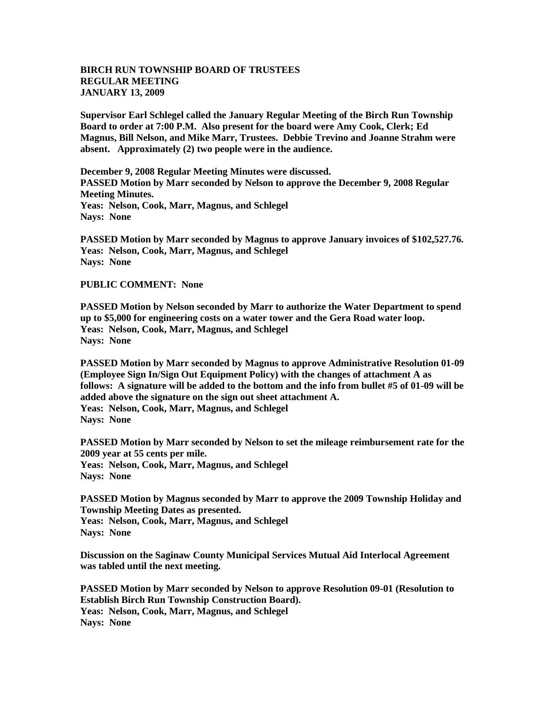## **BIRCH RUN TOWNSHIP BOARD OF TRUSTEES REGULAR MEETING JANUARY 13, 2009**

**Supervisor Earl Schlegel called the January Regular Meeting of the Birch Run Township Board to order at 7:00 P.M. Also present for the board were Amy Cook, Clerk; Ed Magnus, Bill Nelson, and Mike Marr, Trustees. Debbie Trevino and Joanne Strahm were absent. Approximately (2) two people were in the audience.** 

**December 9, 2008 Regular Meeting Minutes were discussed. PASSED Motion by Marr seconded by Nelson to approve the December 9, 2008 Regular Meeting Minutes. Yeas: Nelson, Cook, Marr, Magnus, and Schlegel Nays: None** 

**PASSED Motion by Marr seconded by Magnus to approve January invoices of \$102,527.76. Yeas: Nelson, Cook, Marr, Magnus, and Schlegel Nays: None** 

## **PUBLIC COMMENT: None**

**PASSED Motion by Nelson seconded by Marr to authorize the Water Department to spend up to \$5,000 for engineering costs on a water tower and the Gera Road water loop. Yeas: Nelson, Cook, Marr, Magnus, and Schlegel Nays: None** 

**PASSED Motion by Marr seconded by Magnus to approve Administrative Resolution 01-09 (Employee Sign In/Sign Out Equipment Policy) with the changes of attachment A as follows: A signature will be added to the bottom and the info from bullet #5 of 01-09 will be added above the signature on the sign out sheet attachment A. Yeas: Nelson, Cook, Marr, Magnus, and Schlegel Nays: None** 

**PASSED Motion by Marr seconded by Nelson to set the mileage reimbursement rate for the 2009 year at 55 cents per mile. Yeas: Nelson, Cook, Marr, Magnus, and Schlegel Nays: None** 

**PASSED Motion by Magnus seconded by Marr to approve the 2009 Township Holiday and Township Meeting Dates as presented. Yeas: Nelson, Cook, Marr, Magnus, and Schlegel Nays: None** 

**Discussion on the Saginaw County Municipal Services Mutual Aid Interlocal Agreement was tabled until the next meeting.**

**PASSED Motion by Marr seconded by Nelson to approve Resolution 09-01 (Resolution to Establish Birch Run Township Construction Board). Yeas: Nelson, Cook, Marr, Magnus, and Schlegel Nays: None**